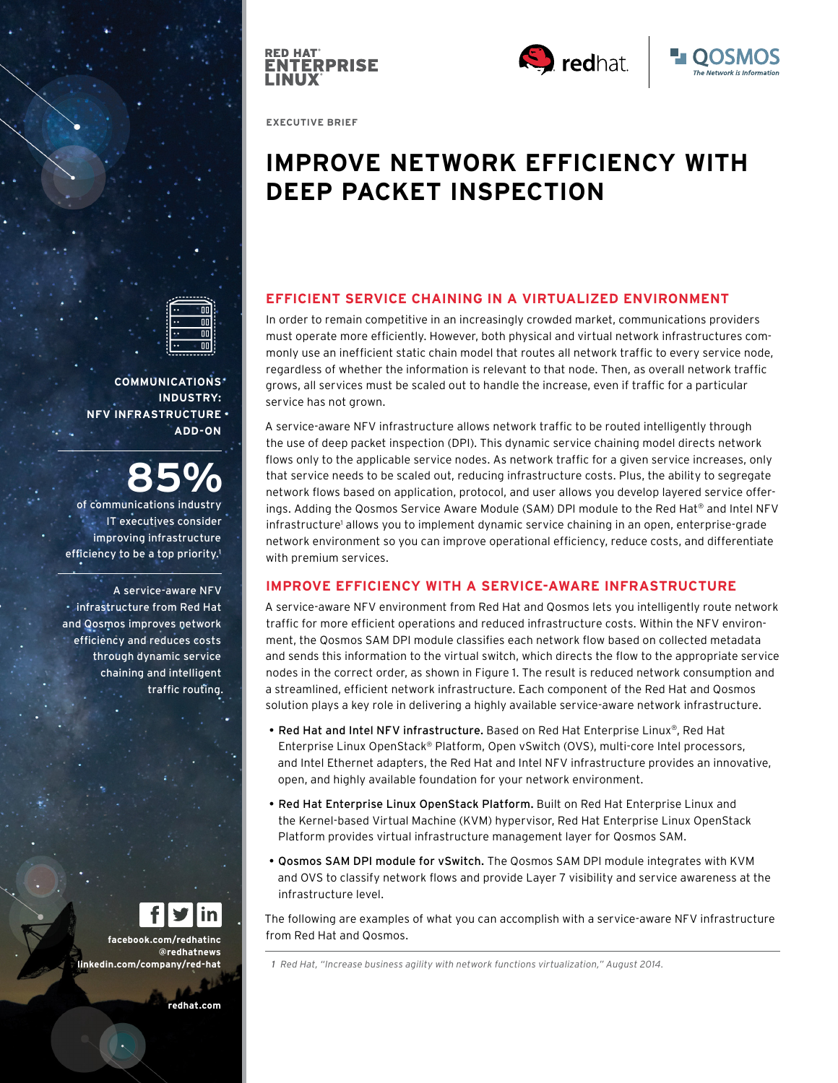





**EXECUTIVE BRIEF**

# **IMPROVE NETWORK EFFICIENCY WITH DEEP PACKET INSPECTION**

## **EFFICIENT SERVICE CHAINING IN A VIRTUALIZED ENVIRONMENT**

In order to remain competitive in an increasingly crowded market, communications providers must operate more efficiently. However, both physical and virtual network infrastructures commonly use an inefficient static chain model that routes all network traffic to every service node, regardless of whether the information is relevant to that node. Then, as overall network traffic grows, all services must be scaled out to handle the increase, even if traffic for a particular service has not grown.

A service-aware NFV infrastructure allows network traffic to be routed intelligently through the use of deep packet inspection (DPI). This dynamic service chaining model directs network flows only to the applicable service nodes. As network traffic for a given service increases, only that service needs to be scaled out, reducing infrastructure costs. Plus, the ability to segregate network flows based on application, protocol, and user allows you develop layered service offerings. Adding the Qosmos Service Aware Module (SAM) DPI module to the Red Hat® and Intel NFV infrastructure<sup>1</sup> allows you to implement dynamic service chaining in an open, enterprise-grade network environment so you can improve operational efficiency, reduce costs, and differentiate with premium services.

# **IMPROVE EFFICIENCY WITH A SERVICE-AWARE INFRASTRUCTURE**

A service-aware NFV environment from Red Hat and Qosmos lets you intelligently route network traffic for more efficient operations and reduced infrastructure costs. Within the NFV environment, the Qosmos SAM DPI module classifies each network flow based on collected metadata and sends this information to the virtual switch, which directs the flow to the appropriate service nodes in the correct order, as shown in Figure 1. The result is reduced network consumption and a streamlined, efficient network infrastructure. Each component of the Red Hat and Qosmos solution plays a key role in delivering a highly available service-aware network infrastructure.

- Red Hat and Intel NFV infrastructure. Based on Red Hat Enterprise Linux®, Red Hat Enterprise Linux OpenStack® Platform, Open vSwitch (OVS), multi-core Intel processors, and Intel Ethernet adapters, the Red Hat and Intel NFV infrastructure provides an innovative, open, and highly available foundation for your network environment.
- Red Hat Enterprise Linux OpenStack Platform. Built on Red Hat Enterprise Linux and the Kernel-based Virtual Machine (KVM) hypervisor, Red Hat Enterprise Linux OpenStack Platform provides virtual infrastructure management layer for Qosmos SAM.
- Qosmos SAM DPI module for vSwitch. The Qosmos SAM DPI module integrates with KVM and OVS to classify network flows and provide Layer 7 visibility and service awareness at the infrastructure level.

The following are examples of what you can accomplish with a service-aware NFV infrastructure from Red Hat and Qosmos.

 *1 Red Hat, "Increase business agility with network functions virtualization," August 2014.*

**COMMUNICATIONS INDUSTRY: NFV INFRASTRUCTURE ADD-ON**

of communications industry **85%** IT executives consider improving infrastructure efficiency to be a top priority.<sup>1</sup>

A service-aware NFV infrastructure from Red Hat and Qosmos improves network efficiency and reduces costs through dynamic service chaining and intelligent traffic routing.

**facebook.com/redhatinc @redhatnews linkedin.com/company/red-hat**

**redhat.com**